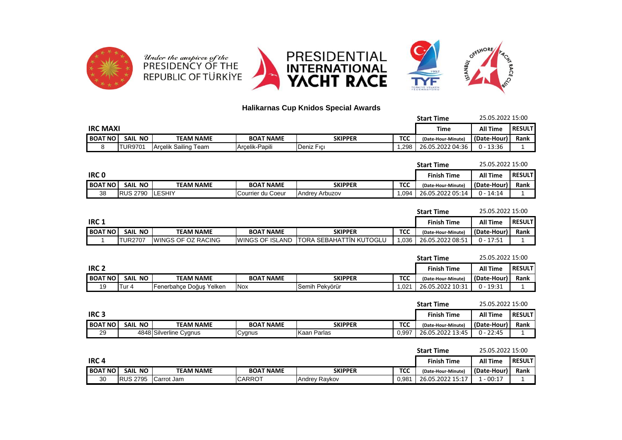

## **Halikarnas Cup Knidos Special Awards**

| <b>Start Time</b> |                 |                      |                  |            |            | 25.05.2022 15:00   |                 |                |
|-------------------|-----------------|----------------------|------------------|------------|------------|--------------------|-----------------|----------------|
|                   | <b>IRC MAXI</b> |                      |                  |            |            |                    | <b>All Time</b> | <b>RESULTI</b> |
| <b>BOAT NO</b>    | SAIL NO         | TEAM NAME            | <b>BOAT NAME</b> | SKIPPER    | <b>TCC</b> | (Date-Hour-Minute) | (Date-Hour)     | <b>Rank</b>    |
|                   | <b>TUR9701</b>  | Arcelik Sailing Team | Arcelik-Papili   | Deniz Fici | .298       | 26.05.2022 04:36   | $0 - 13:36$     |                |

|                |                 |                  |                   |                       |            | <b>Start Time</b>  | 25.05.2022 15:00 |               |
|----------------|-----------------|------------------|-------------------|-----------------------|------------|--------------------|------------------|---------------|
| <b>IRCO</b>    |                 |                  |                   |                       |            | <b>Finish Time</b> | All Time         | <b>RESULT</b> |
| <b>BOAT NO</b> | SAIL NO         | <b>TEAM NAME</b> | <b>BOAT NAME</b>  | <b>SKIPPER</b>        | <b>TCC</b> | (Date-Hour-Minute) | (Date-Hour)      | <b>Rank</b>   |
| 38             | <b>RUS 2790</b> | <b>ILESHIY</b>   | Courrier du Coeur | <b>Andrey Arbuzov</b> | ,094       | 26.05.2022 05:14   | $0 - 14:14$      |               |

|                |                |                            |                         |                                 |            | <b>Start Time</b>  | 25.05.2022 15:00 |               |
|----------------|----------------|----------------------------|-------------------------|---------------------------------|------------|--------------------|------------------|---------------|
| IRC 1          |                |                            |                         |                                 |            | <b>Finish Time</b> | <b>All Time</b>  | <b>RESULT</b> |
| <b>BOAT NO</b> | SAIL NO        | <b>TEAM NAME</b>           | <b>BOAT NAME</b>        | SKIPPER                         | <b>TCC</b> | (Date-Hour-Minute) | l (Date-Hour)    | Rank          |
|                | <b>TUR2707</b> | <b>IWINGS OF OZ RACING</b> | <b>IWINGS OF ISLAND</b> | <b>ITORA SEBAHATTIN KUTOGLU</b> | 1.036      | 26.05.2022 08:51   | ) - 17:51        |               |

|                |         |                         |                  |                |            | <b>Start Time</b>  | 25.05.2022 15:00 |                |
|----------------|---------|-------------------------|------------------|----------------|------------|--------------------|------------------|----------------|
| <b>IRC 2</b>   |         |                         |                  |                |            | <b>Finish Time</b> | <b>All Time</b>  | <b>RESULTI</b> |
| <b>BOAT NO</b> | SAIL NO | <b>TEAM NAME</b>        | <b>BOAT NAME</b> | <b>SKIPPER</b> | <b>TCC</b> | (Date-Hour-Minute) | l (Date-Hour)    | Rank           |
|                | lTur 4  | Fenerbahçe Doğuş Yelken | <b>INox</b>      | Semih Pekvörür | .021       | 26.05.2022 10:31   | 0 - 19:31        |                |

|                |         |                        |                  |             |            | <b>Start Time</b>  | 25.05.2022 15:00 |               |
|----------------|---------|------------------------|------------------|-------------|------------|--------------------|------------------|---------------|
| <b>IRC3</b>    |         |                        |                  |             |            | <b>Finish Time</b> | <b>All Time</b>  | <b>RESULT</b> |
| <b>BOAT NO</b> | SAIL NO | <b>TEAM NAME</b>       | <b>BOAT NAME</b> | SKIPPER     | <b>TCC</b> | (Date-Hour-Minute) | (Date-Hour)      | Rank          |
| 29             |         | 4848 Silverline Cygnus | Cygnus           | Kaan Parlas | 0,997      | 26.05.2022 13:45   | $0 - 22:45$      |               |

|                |                    |                  |                  |               |            | <b>Start Time</b>  |                 | 25.05.2022 15:00 |  |
|----------------|--------------------|------------------|------------------|---------------|------------|--------------------|-----------------|------------------|--|
| <b>IRC4</b>    |                    |                  |                  |               |            |                    | <b>All Time</b> | <b>RESULT</b>    |  |
| <b>BOAT NO</b> | NO.<br><b>SAIL</b> | <b>TEAM NAME</b> | <b>BOAT NAME</b> | SKIPPER       | <b>TCC</b> | (Date-Hour-Minute) | l (Date-Hour)   | Rank             |  |
| 30             | <b>RUS 2795</b>    | Carrot Jam       | <b>ICARROT</b>   | Andrey Raykov | 0,981      | 26.05.2022 15:17   | $-00:17$        |                  |  |